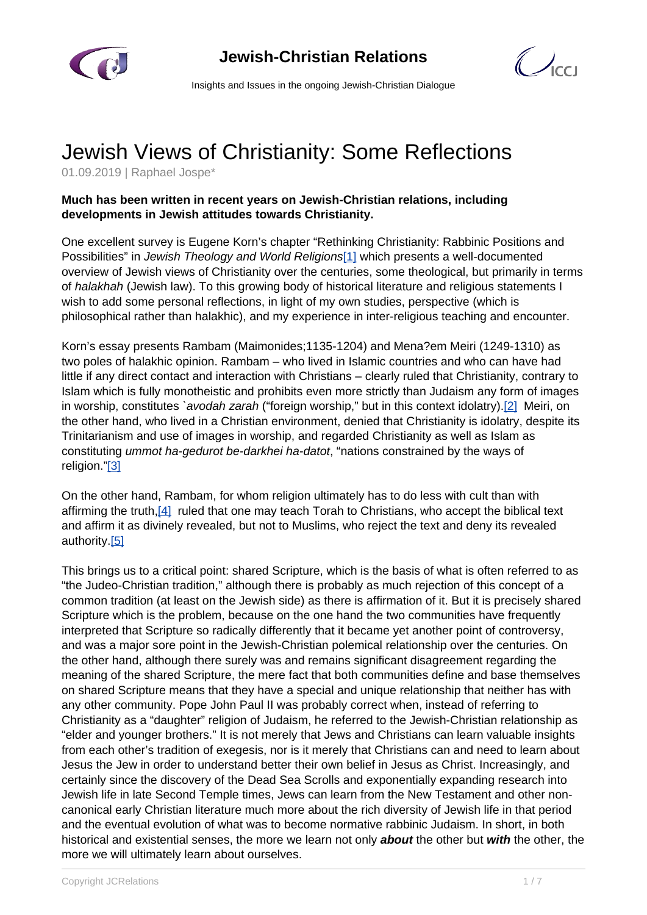



Insights and Issues in the ongoing Jewish-Christian Dialogue

## Jewish Views of Christianity: Some Reflections

01.09.2019 | Raphael Jospe\*

## **Much has been written in recent years on Jewish-Christian relations, including developments in Jewish attitudes towards Christianity.**

One excellent survey is Eugene Korn's chapter "Rethinking Christianity: Rabbinic Positions and Possibilities" in Jewish Theology and World Religions[1] which presents a well-documented overview of Jewish views of Christianity over the centuries, some theological, but primarily in terms of halakhah (Jewish law). To this growing body of historical literature and religious statements I wish to add some personal reflections, in light of my own studies, perspective (which is philosophical rather than halakhic), and my experience in inter-religious teaching and encounter.

Korn's essay presents Rambam (Maimonides;1135-1204) and Mena?em Meiri (1249-1310) as two poles of halakhic opinion. Rambam – who lived in Islamic countries and who can have had little if any direct contact and interaction with Christians – clearly ruled that Christianity, contrary to Islam which is fully monotheistic and prohibits even more strictly than Judaism any form of images in worship, constitutes `avodah zarah ("foreign worship," but in this context idolatry).<sup>[2]</sup> Meiri, on the other hand, who lived in a Christian environment, denied that Christianity is idolatry, despite its Trinitarianism and use of images in worship, and regarded Christianity as well as Islam as constituting ummot ha-gedurot be-darkhei ha-datot, "nations constrained by the ways of religion."[3]

On the other hand, Rambam, for whom religion ultimately has to do less with cult than with affirming the truth,[4] ruled that one may teach Torah to Christians, who accept the biblical text and affirm it as divinely revealed, but not to Muslims, who reject the text and deny its revealed authority.[5]

This brings us to a critical point: shared Scripture, which is the basis of what is often referred to as "the Judeo-Christian tradition," although there is probably as much rejection of this concept of a common tradition (at least on the Jewish side) as there is affirmation of it. But it is precisely shared Scripture which is the problem, because on the one hand the two communities have frequently interpreted that Scripture so radically differently that it became yet another point of controversy, and was a major sore point in the Jewish-Christian polemical relationship over the centuries. On the other hand, although there surely was and remains significant disagreement regarding the meaning of the shared Scripture, the mere fact that both communities define and base themselves on shared Scripture means that they have a special and unique relationship that neither has with any other community. Pope John Paul II was probably correct when, instead of referring to Christianity as a "daughter" religion of Judaism, he referred to the Jewish-Christian relationship as "elder and younger brothers." It is not merely that Jews and Christians can learn valuable insights from each other's tradition of exegesis, nor is it merely that Christians can and need to learn about Jesus the Jew in order to understand better their own belief in Jesus as Christ. Increasingly, and certainly since the discovery of the Dead Sea Scrolls and exponentially expanding research into Jewish life in late Second Temple times, Jews can learn from the New Testament and other noncanonical early Christian literature much more about the rich diversity of Jewish life in that period and the eventual evolution of what was to become normative rabbinic Judaism. In short, in both historical and existential senses, the more we learn not only **about** the other but **with** the other, the more we will ultimately learn about ourselves.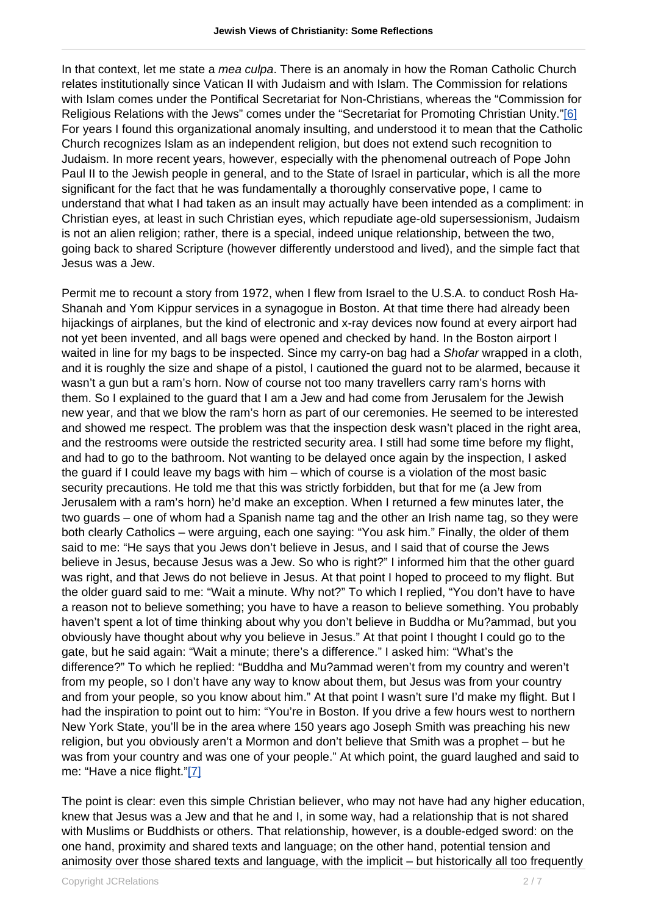In that context, let me state a *mea culpa*. There is an anomaly in how the Roman Catholic Church relates institutionally since Vatican II with Judaism and with Islam. The Commission for relations with Islam comes under the Pontifical Secretariat for Non-Christians, whereas the "Commission for Religious Relations with the Jews" comes under the "Secretariat for Promoting Christian Unity."[6] For years I found this organizational anomaly insulting, and understood it to mean that the Catholic Church recognizes Islam as an independent religion, but does not extend such recognition to Judaism. In more recent years, however, especially with the phenomenal outreach of Pope John Paul II to the Jewish people in general, and to the State of Israel in particular, which is all the more significant for the fact that he was fundamentally a thoroughly conservative pope, I came to understand that what I had taken as an insult may actually have been intended as a compliment: in Christian eyes, at least in such Christian eyes, which repudiate age-old supersessionism, Judaism is not an alien religion; rather, there is a special, indeed unique relationship, between the two, going back to shared Scripture (however differently understood and lived), and the simple fact that Jesus was a Jew.

Permit me to recount a story from 1972, when I flew from Israel to the U.S.A. to conduct Rosh Ha-Shanah and Yom Kippur services in a synagogue in Boston. At that time there had already been hijackings of airplanes, but the kind of electronic and x-ray devices now found at every airport had not yet been invented, and all bags were opened and checked by hand. In the Boston airport I waited in line for my bags to be inspected. Since my carry-on bag had a Shofar wrapped in a cloth, and it is roughly the size and shape of a pistol, I cautioned the guard not to be alarmed, because it wasn't a gun but a ram's horn. Now of course not too many travellers carry ram's horns with them. So I explained to the guard that I am a Jew and had come from Jerusalem for the Jewish new year, and that we blow the ram's horn as part of our ceremonies. He seemed to be interested and showed me respect. The problem was that the inspection desk wasn't placed in the right area, and the restrooms were outside the restricted security area. I still had some time before my flight, and had to go to the bathroom. Not wanting to be delayed once again by the inspection, I asked the guard if I could leave my bags with him – which of course is a violation of the most basic security precautions. He told me that this was strictly forbidden, but that for me (a Jew from Jerusalem with a ram's horn) he'd make an exception. When I returned a few minutes later, the two guards – one of whom had a Spanish name tag and the other an Irish name tag, so they were both clearly Catholics – were arguing, each one saying: "You ask him." Finally, the older of them said to me: "He says that you Jews don't believe in Jesus, and I said that of course the Jews believe in Jesus, because Jesus was a Jew. So who is right?" I informed him that the other guard was right, and that Jews do not believe in Jesus. At that point I hoped to proceed to my flight. But the older guard said to me: "Wait a minute. Why not?" To which I replied, "You don't have to have a reason not to believe something; you have to have a reason to believe something. You probably haven't spent a lot of time thinking about why you don't believe in Buddha or Mu?ammad, but you obviously have thought about why you believe in Jesus." At that point I thought I could go to the gate, but he said again: "Wait a minute; there's a difference." I asked him: "What's the difference?" To which he replied: "Buddha and Mu?ammad weren't from my country and weren't from my people, so I don't have any way to know about them, but Jesus was from your country and from your people, so you know about him." At that point I wasn't sure I'd make my flight. But I had the inspiration to point out to him: "You're in Boston. If you drive a few hours west to northern New York State, you'll be in the area where 150 years ago Joseph Smith was preaching his new religion, but you obviously aren't a Mormon and don't believe that Smith was a prophet – but he was from your country and was one of your people." At which point, the guard laughed and said to me: "Have a nice flight."[7]

The point is clear: even this simple Christian believer, who may not have had any higher education, knew that Jesus was a Jew and that he and I, in some way, had a relationship that is not shared with Muslims or Buddhists or others. That relationship, however, is a double-edged sword: on the one hand, proximity and shared texts and language; on the other hand, potential tension and animosity over those shared texts and language, with the implicit – but historically all too frequently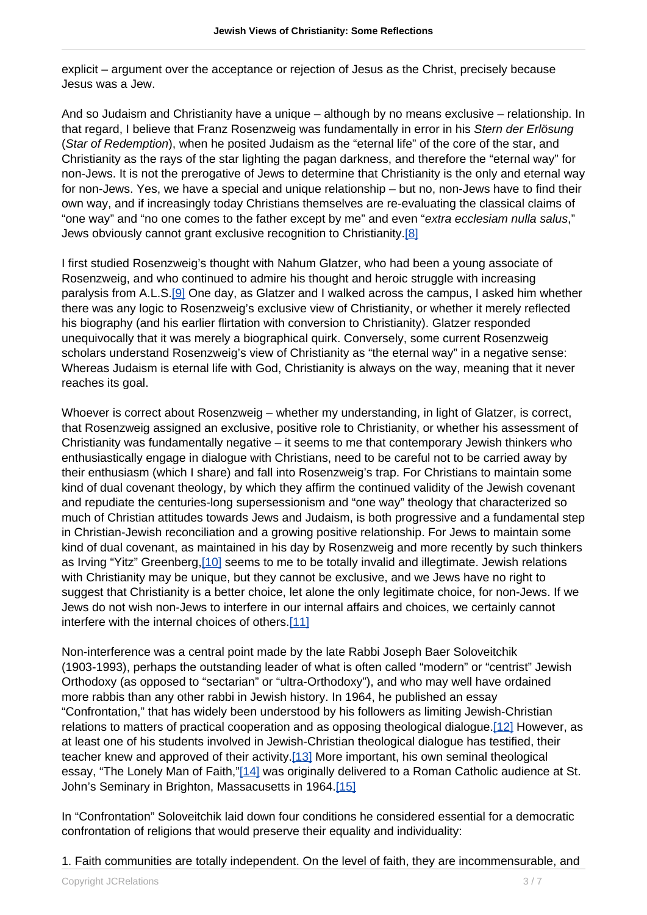explicit – argument over the acceptance or rejection of Jesus as the Christ, precisely because Jesus was a Jew.

And so Judaism and Christianity have a unique – although by no means exclusive – relationship. In that regard, I believe that Franz Rosenzweig was fundamentally in error in his Stern der Erlösung (Star of Redemption), when he posited Judaism as the "eternal life" of the core of the star, and Christianity as the rays of the star lighting the pagan darkness, and therefore the "eternal way" for non-Jews. It is not the prerogative of Jews to determine that Christianity is the only and eternal way for non-Jews. Yes, we have a special and unique relationship – but no, non-Jews have to find their own way, and if increasingly today Christians themselves are re-evaluating the classical claims of "one way" and "no one comes to the father except by me" and even "extra ecclesiam nulla salus," Jews obviously cannot grant exclusive recognition to Christianity.[8]

I first studied Rosenzweig's thought with Nahum Glatzer, who had been a young associate of Rosenzweig, and who continued to admire his thought and heroic struggle with increasing paralysis from A.L.S.[9] One day, as Glatzer and I walked across the campus, I asked him whether there was any logic to Rosenzweig's exclusive view of Christianity, or whether it merely reflected his biography (and his earlier flirtation with conversion to Christianity). Glatzer responded unequivocally that it was merely a biographical quirk. Conversely, some current Rosenzweig scholars understand Rosenzweig's view of Christianity as "the eternal way" in a negative sense: Whereas Judaism is eternal life with God, Christianity is always on the way, meaning that it never reaches its goal.

Whoever is correct about Rosenzweig – whether my understanding, in light of Glatzer, is correct, that Rosenzweig assigned an exclusive, positive role to Christianity, or whether his assessment of Christianity was fundamentally negative – it seems to me that contemporary Jewish thinkers who enthusiastically engage in dialogue with Christians, need to be careful not to be carried away by their enthusiasm (which I share) and fall into Rosenzweig's trap. For Christians to maintain some kind of dual covenant theology, by which they affirm the continued validity of the Jewish covenant and repudiate the centuries-long supersessionism and "one way" theology that characterized so much of Christian attitudes towards Jews and Judaism, is both progressive and a fundamental step in Christian-Jewish reconciliation and a growing positive relationship. For Jews to maintain some kind of dual covenant, as maintained in his day by Rosenzweig and more recently by such thinkers as Irving "Yitz" Greenberg, [10] seems to me to be totally invalid and illegtimate. Jewish relations with Christianity may be unique, but they cannot be exclusive, and we Jews have no right to suggest that Christianity is a better choice, let alone the only legitimate choice, for non-Jews. If we Jews do not wish non-Jews to interfere in our internal affairs and choices, we certainly cannot interfere with the internal choices of others.[11]

Non-interference was a central point made by the late Rabbi Joseph Baer Soloveitchik (1903-1993), perhaps the outstanding leader of what is often called "modern" or "centrist" Jewish Orthodoxy (as opposed to "sectarian" or "ultra-Orthodoxy"), and who may well have ordained more rabbis than any other rabbi in Jewish history. In 1964, he published an essay "Confrontation," that has widely been understood by his followers as limiting Jewish-Christian relations to matters of practical cooperation and as opposing theological dialogue.<sup>[12]</sup> However, as at least one of his students involved in Jewish-Christian theological dialogue has testified, their teacher knew and approved of their activity.[13] More important, his own seminal theological essay, "The Lonely Man of Faith,"[14] was originally delivered to a Roman Catholic audience at St. John's Seminary in Brighton, Massacusetts in 1964.[15]

In "Confrontation" Soloveitchik laid down four conditions he considered essential for a democratic confrontation of religions that would preserve their equality and individuality:

1. Faith communities are totally independent. On the level of faith, they are incommensurable, and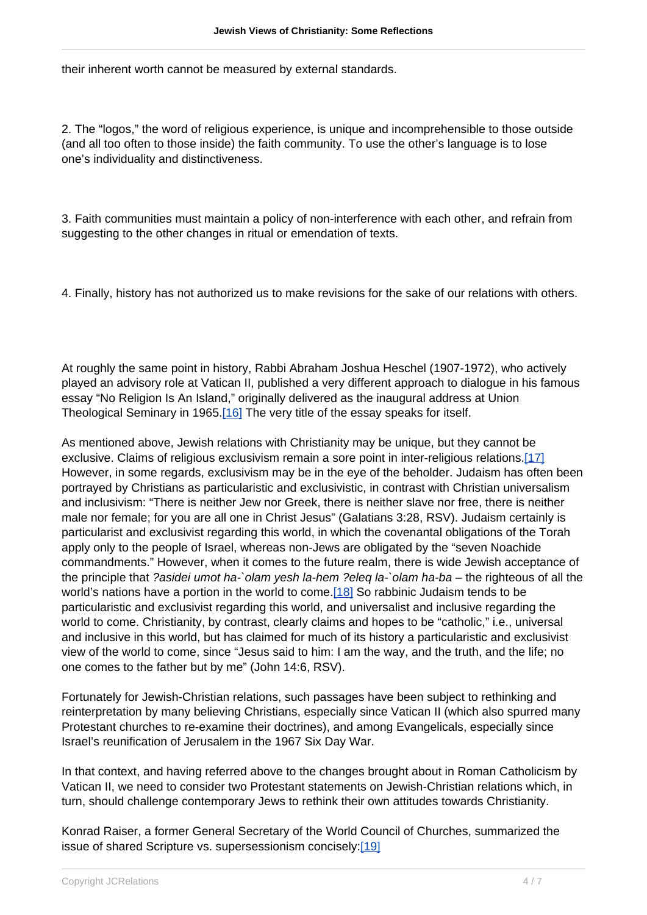their inherent worth cannot be measured by external standards.

2. The "logos," the word of religious experience, is unique and incomprehensible to those outside (and all too often to those inside) the faith community. To use the other's language is to lose one's individuality and distinctiveness.

3. Faith communities must maintain a policy of non-interference with each other, and refrain from suggesting to the other changes in ritual or emendation of texts.

4. Finally, history has not authorized us to make revisions for the sake of our relations with others.

At roughly the same point in history, Rabbi Abraham Joshua Heschel (1907-1972), who actively played an advisory role at Vatican II, published a very different approach to dialogue in his famous essay "No Religion Is An Island," originally delivered as the inaugural address at Union Theological Seminary in 1965.[16] The very title of the essay speaks for itself.

As mentioned above, Jewish relations with Christianity may be unique, but they cannot be exclusive. Claims of religious exclusivism remain a sore point in inter-religious relations.[17] However, in some regards, exclusivism may be in the eye of the beholder. Judaism has often been portrayed by Christians as particularistic and exclusivistic, in contrast with Christian universalism and inclusivism: "There is neither Jew nor Greek, there is neither slave nor free, there is neither male nor female; for you are all one in Christ Jesus" (Galatians 3:28, RSV). Judaism certainly is particularist and exclusivist regarding this world, in which the covenantal obligations of the Torah apply only to the people of Israel, whereas non-Jews are obligated by the "seven Noachide commandments." However, when it comes to the future realm, there is wide Jewish acceptance of the principle that ?asidei umot ha-`olam yesh la-hem ?eleq la-`olam ha-ba – the righteous of all the world's nations have a portion in the world to come.[18] So rabbinic Judaism tends to be particularistic and exclusivist regarding this world, and universalist and inclusive regarding the world to come. Christianity, by contrast, clearly claims and hopes to be "catholic," i.e., universal and inclusive in this world, but has claimed for much of its history a particularistic and exclusivist view of the world to come, since "Jesus said to him: I am the way, and the truth, and the life; no one comes to the father but by me" (John 14:6, RSV).

Fortunately for Jewish-Christian relations, such passages have been subject to rethinking and reinterpretation by many believing Christians, especially since Vatican II (which also spurred many Protestant churches to re-examine their doctrines), and among Evangelicals, especially since Israel's reunification of Jerusalem in the 1967 Six Day War.

In that context, and having referred above to the changes brought about in Roman Catholicism by Vatican II, we need to consider two Protestant statements on Jewish-Christian relations which, in turn, should challenge contemporary Jews to rethink their own attitudes towards Christianity.

Konrad Raiser, a former General Secretary of the World Council of Churches, summarized the issue of shared Scripture vs. supersessionism concisely:[19]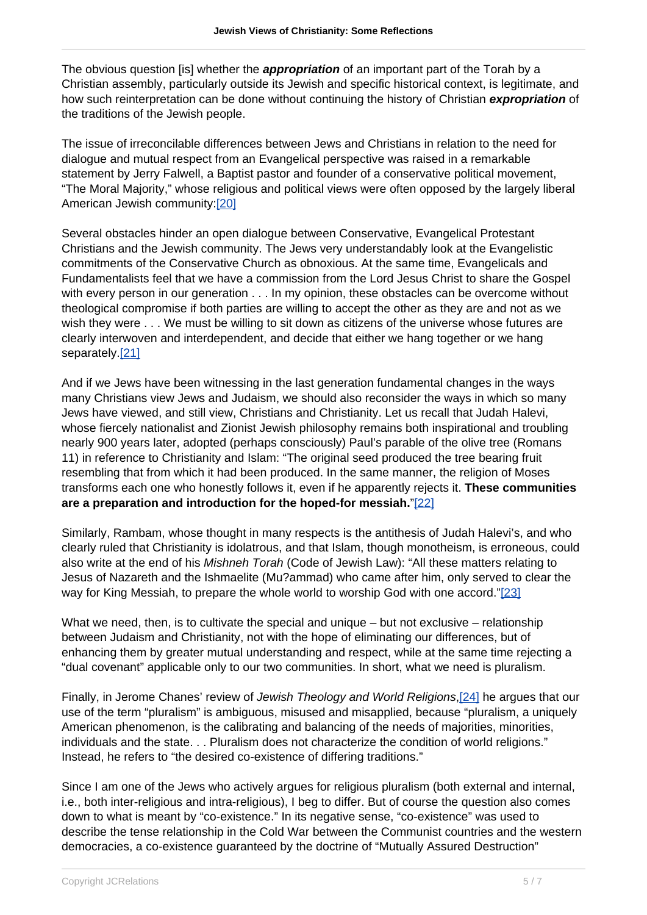The obvious question [is] whether the **appropriation** of an important part of the Torah by a Christian assembly, particularly outside its Jewish and specific historical context, is legitimate, and how such reinterpretation can be done without continuing the history of Christian **expropriation** of the traditions of the Jewish people.

The issue of irreconcilable differences between Jews and Christians in relation to the need for dialogue and mutual respect from an Evangelical perspective was raised in a remarkable statement by Jerry Falwell, a Baptist pastor and founder of a conservative political movement, "The Moral Majority," whose religious and political views were often opposed by the largely liberal American Jewish community:[20]

Several obstacles hinder an open dialogue between Conservative, Evangelical Protestant Christians and the Jewish community. The Jews very understandably look at the Evangelistic commitments of the Conservative Church as obnoxious. At the same time, Evangelicals and Fundamentalists feel that we have a commission from the Lord Jesus Christ to share the Gospel with every person in our generation . . . In my opinion, these obstacles can be overcome without theological compromise if both parties are willing to accept the other as they are and not as we wish they were . . . We must be willing to sit down as citizens of the universe whose futures are clearly interwoven and interdependent, and decide that either we hang together or we hang separately.<sup>[21]</sup>

And if we Jews have been witnessing in the last generation fundamental changes in the ways many Christians view Jews and Judaism, we should also reconsider the ways in which so many Jews have viewed, and still view, Christians and Christianity. Let us recall that Judah Halevi, whose fiercely nationalist and Zionist Jewish philosophy remains both inspirational and troubling nearly 900 years later, adopted (perhaps consciously) Paul's parable of the olive tree (Romans 11) in reference to Christianity and Islam: "The original seed produced the tree bearing fruit resembling that from which it had been produced. In the same manner, the religion of Moses transforms each one who honestly follows it, even if he apparently rejects it. **These communities are a preparation and introduction for the hoped-for messiah.**"[22]

Similarly, Rambam, whose thought in many respects is the antithesis of Judah Halevi's, and who clearly ruled that Christianity is idolatrous, and that Islam, though monotheism, is erroneous, could also write at the end of his Mishneh Torah (Code of Jewish Law): "All these matters relating to Jesus of Nazareth and the Ishmaelite (Mu?ammad) who came after him, only served to clear the way for King Messiah, to prepare the whole world to worship God with one accord."[23]

What we need, then, is to cultivate the special and unique – but not exclusive – relationship between Judaism and Christianity, not with the hope of eliminating our differences, but of enhancing them by greater mutual understanding and respect, while at the same time rejecting a "dual covenant" applicable only to our two communities. In short, what we need is pluralism.

Finally, in Jerome Chanes' review of Jewish Theology and World Religions,[24] he argues that our use of the term "pluralism" is ambiguous, misused and misapplied, because "pluralism, a uniquely American phenomenon, is the calibrating and balancing of the needs of majorities, minorities, individuals and the state. . . Pluralism does not characterize the condition of world religions." Instead, he refers to "the desired co-existence of differing traditions."

Since I am one of the Jews who actively argues for religious pluralism (both external and internal, i.e., both inter-religious and intra-religious), I beg to differ. But of course the question also comes down to what is meant by "co-existence." In its negative sense, "co-existence" was used to describe the tense relationship in the Cold War between the Communist countries and the western democracies, a co-existence guaranteed by the doctrine of "Mutually Assured Destruction"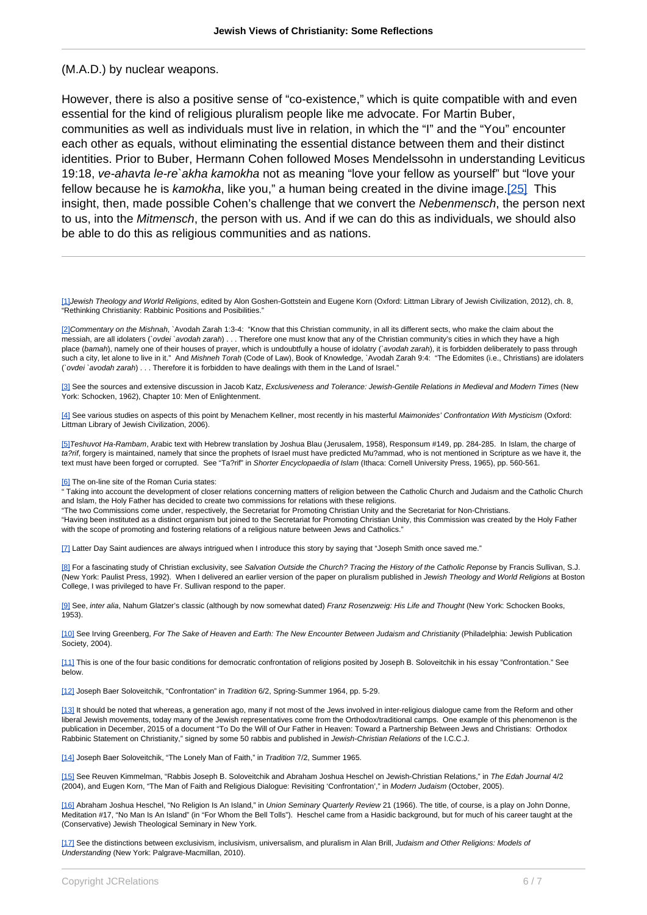## (M.A.D.) by nuclear weapons.

However, there is also a positive sense of "co-existence," which is quite compatible with and even essential for the kind of religious pluralism people like me advocate. For Martin Buber, communities as well as individuals must live in relation, in which the "I" and the "You" encounter each other as equals, without eliminating the essential distance between them and their distinct identities. Prior to Buber, Hermann Cohen followed Moses Mendelssohn in understanding Leviticus 19:18, ve-ahavta le-re`akha kamokha not as meaning "love your fellow as yourself" but "love your fellow because he is kamokha, like you," a human being created in the divine image.[25] This insight, then, made possible Cohen's challenge that we convert the Nebenmensch, the person next to us, into the Mitmensch, the person with us. And if we can do this as individuals, we should also be able to do this as religious communities and as nations.

[1]Jewish Theology and World Religions, edited by Alon Goshen-Gottstein and Eugene Korn (Oxford: Littman Library of Jewish Civilization, 2012), ch. 8, "Rethinking Christianity: Rabbinic Positions and Posibilities."

[2] Commentary on the Mishnah, `Avodah Zarah 1:3-4: "Know that this Christian community, in all its different sects, who make the claim about the messiah, are all idolaters (`ovdei `avodah zarah) . . . Therefore one must know that any of the Christian community's cities in which they have a high place (bamah), namely one of their houses of prayer, which is undoubtfully a house of idolatry (`avodah zarah), it is forbidden deliberately to pass through such a city, let alone to live in it." And Mishneh Torah (Code of Law), Book of Knowledge, `Avodah Zarah 9:4: "The Edomites (i.e., Christians) are idolaters (`ovdei `avodah zarah) . . . Therefore it is forbidden to have dealings with them in the Land of Israel."

[3] See the sources and extensive discussion in Jacob Katz, Exclusiveness and Tolerance: Jewish-Gentile Relations in Medieval and Modern Times (New York: Schocken, 1962), Chapter 10: Men of Enlightenment.

[4] See various studies on aspects of this point by Menachem Kellner, most recently in his masterful Maimonides' Confrontation With Mysticism (Oxford: Littman Library of Jewish Civilization, 2006).

[5] Teshuvot Ha-Rambam, Arabic text with Hebrew translation by Joshua Blau (Jerusalem, 1958), Responsum #149, pp. 284-285. In Islam, the charge of ta?rif, forgery is maintained, namely that since the prophets of Israel must have predicted Mu?ammad, who is not mentioned in Scripture as we have it, the text must have been forged or corrupted. See "Ta?rif" in Shorter Encyclopaedia of Islam (Ithaca: Cornell University Press, 1965), pp. 560-561.

[6] The on-line site of the Roman Curia states:

" Taking into account the development of closer relations concerning matters of religion between the Catholic Church and Judaism and the Catholic Church and Islam, the Holy Father has decided to create two commissions for relations with these religions.

"The two Commissions come under, respectively, the Secretariat for Promoting Christian Unity and the Secretariat for Non-Christians. "Having been instituted as a distinct organism but joined to the Secretariat for Promoting Christian Unity, this Commission was created by the Holy Father with the scope of promoting and fostering relations of a religious nature between Jews and Catholics.'

[7] Latter Day Saint audiences are always intrigued when I introduce this story by saying that "Joseph Smith once saved me."

[8] For a fascinating study of Christian exclusivity, see Salvation Outside the Church? Tracing the History of the Catholic Reponse by Francis Sullivan, S.J. (New York: Paulist Press, 1992). When I delivered an earlier version of the paper on pluralism published in Jewish Theology and World Religions at Boston College, I was privileged to have Fr. Sullivan respond to the paper.

[9] See, inter alia, Nahum Glatzer's classic (although by now somewhat dated) Franz Rosenzweig: His Life and Thought (New York: Schocken Books, 1953).

[10] See Irving Greenberg, For The Sake of Heaven and Earth: The New Encounter Between Judaism and Christianity (Philadelphia: Jewish Publication Society, 2004).

[11] This is one of the four basic conditions for democratic confrontation of religions posited by Joseph B. Soloveitchik in his essay "Confrontation." See below.

[12] Joseph Baer Soloveitchik, "Confrontation" in Tradition 6/2, Spring-Summer 1964, pp. 5-29.

[13] It should be noted that whereas, a generation ago, many if not most of the Jews involved in inter-religious dialogue came from the Reform and other liberal Jewish movements, today many of the Jewish representatives come from the Orthodox/traditional camps. One example of this phenomenon is the publication in December, 2015 of a document "To Do the Will of Our Father in Heaven: Toward a Partnership Between Jews and Christians: Orthodox Rabbinic Statement on Christianity," signed by some 50 rabbis and published in Jewish-Christian Relations of the I.C.C.J.

[14] Joseph Baer Soloveitchik, "The Lonely Man of Faith," in Tradition 7/2, Summer 1965.

[15] See Reuven Kimmelman, "Rabbis Joseph B. Soloveitchik and Abraham Joshua Heschel on Jewish-Christian Relations," in The Edah Journal 4/2 (2004), and Eugen Korn, "The Man of Faith and Religious Dialogue: Revisiting 'Confrontation'," in Modern Judaism (October, 2005).

[16] Abraham Joshua Heschel, "No Religion Is An Island," in Union Seminary Quarterly Review 21 (1966). The title, of course, is a play on John Donne, Meditation #17, "No Man Is An Island" (in "For Whom the Bell Tolls"). Heschel came from a Hasidic background, but for much of his career taught at the (Conservative) Jewish Theological Seminary in New York.

[17] See the distinctions between exclusivism, inclusivism, universalism, and pluralism in Alan Brill, Judaism and Other Religions: Models of Understanding (New York: Palgrave-Macmillan, 2010).